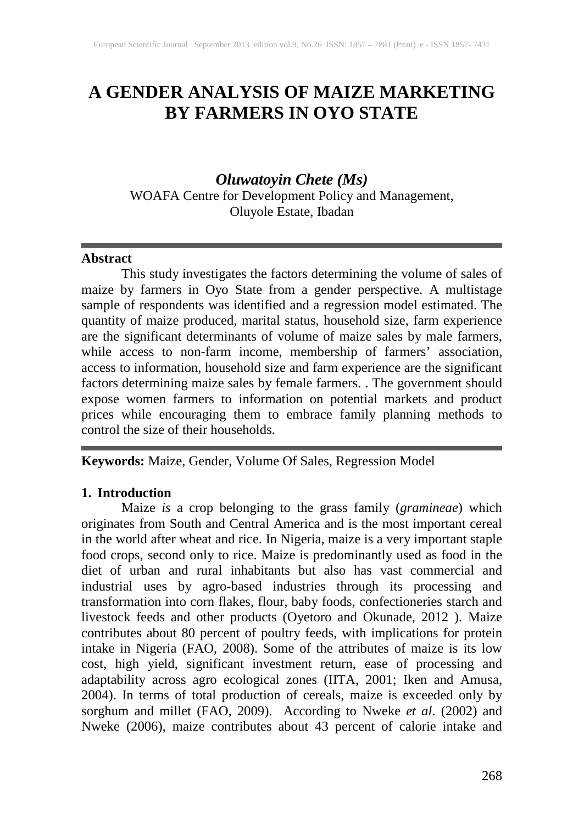# **A GENDER ANALYSIS OF MAIZE MARKETING BY FARMERS IN OYO STATE**

## *Oluwatoyin Chete (Ms)*

WOAFA Centre for Development Policy and Management, Oluyole Estate, Ibadan

#### **Abstract**

This study investigates the factors determining the volume of sales of maize by farmers in Oyo State from a gender perspective. A multistage sample of respondents was identified and a regression model estimated. The quantity of maize produced, marital status, household size, farm experience are the significant determinants of volume of maize sales by male farmers, while access to non-farm income, membership of farmers' association, access to information, household size and farm experience are the significant factors determining maize sales by female farmers. . The government should expose women farmers to information on potential markets and product prices while encouraging them to embrace family planning methods to control the size of their households.

#### **Keywords:** Maize, Gender, Volume Of Sales, Regression Model

#### **1. Introduction**

Maize *is* a crop belonging to the grass family (*gramineae*) which originates from South and Central America and is the most important cereal in the world after wheat and rice. In Nigeria, maize is a very important staple food crops, second only to rice. Maize is predominantly used as food in the diet of urban and rural inhabitants but also has vast commercial and industrial uses by agro-based industries through its processing and transformation into corn flakes, flour, baby foods, confectioneries starch and livestock feeds and other products (Oyetoro and Okunade, 2012 ). Maize contributes about 80 percent of poultry feeds, with implications for protein intake in Nigeria (FAO, 2008). Some of the attributes of maize is its low cost, high yield, significant investment return, ease of processing and adaptability across agro ecological zones (IITA, 2001; Iken and Amusa, 2004). In terms of total production of cereals, maize is exceeded only by sorghum and millet (FAO, 2009). According to Nweke *et al*. (2002) and Nweke (2006), maize contributes about 43 percent of calorie intake and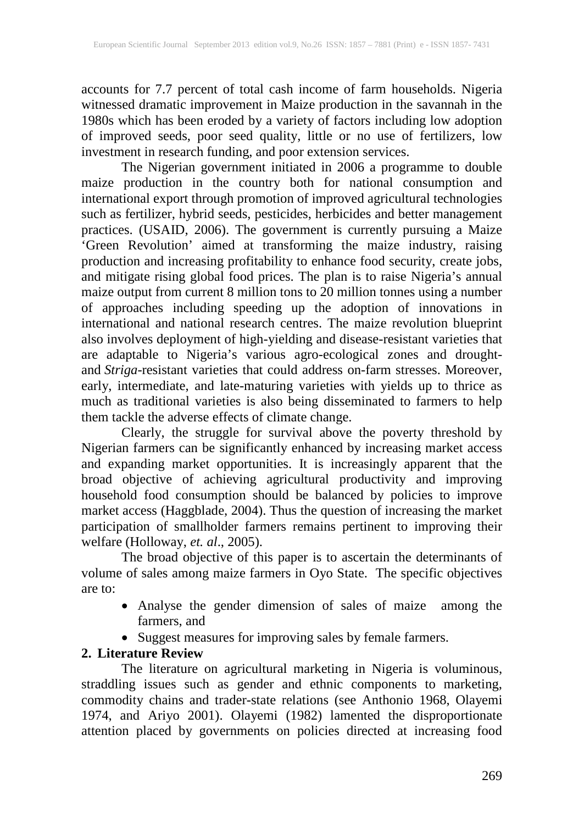accounts for 7.7 percent of total cash income of farm households. Nigeria witnessed dramatic improvement in Maize production in the savannah in the 1980s which has been eroded by a variety of factors including low adoption of improved seeds, poor seed quality, little or no use of fertilizers, low investment in research funding, and poor extension services.

The Nigerian government initiated in 2006 a programme to double maize production in the country both for national consumption and international export through promotion of improved agricultural technologies such as fertilizer, hybrid seeds, pesticides, herbicides and better management practices. (USAID, 2006). The government is currently pursuing a Maize 'Green Revolution' aimed at transforming the maize industry, raising production and increasing profitability to enhance food security, create jobs, and mitigate rising global food prices. The plan is to raise Nigeria's annual maize output from current 8 million tons to 20 million tonnes using a number of approaches including speeding up the adoption of innovations in international and national research centres. The maize revolution blueprint also involves deployment of high-yielding and disease-resistant varieties that are adaptable to Nigeria's various agro-ecological zones and droughtand *Striga-*resistant varieties that could address on-farm stresses. Moreover, early, intermediate, and late-maturing varieties with yields up to thrice as much as traditional varieties is also being disseminated to farmers to help them tackle the adverse effects of climate change.

Clearly, the struggle for survival above the poverty threshold by Nigerian farmers can be significantly enhanced by increasing market access and expanding market opportunities. It is increasingly apparent that the broad objective of achieving agricultural productivity and improving household food consumption should be balanced by policies to improve market access (Haggblade, 2004). Thus the question of increasing the market participation of smallholder farmers remains pertinent to improving their welfare (Holloway, *et. al*., 2005).

The broad objective of this paper is to ascertain the determinants of volume of sales among maize farmers in Oyo State. The specific objectives are to:

- Analyse the gender dimension of sales of maize among the farmers, and
- Suggest measures for improving sales by female farmers.

## **2. Literature Review**

The literature on agricultural marketing in Nigeria is voluminous, straddling issues such as gender and ethnic components to marketing, commodity chains and trader-state relations (see Anthonio 1968, Olayemi 1974, and Ariyo 2001). Olayemi (1982) lamented the disproportionate attention placed by governments on policies directed at increasing food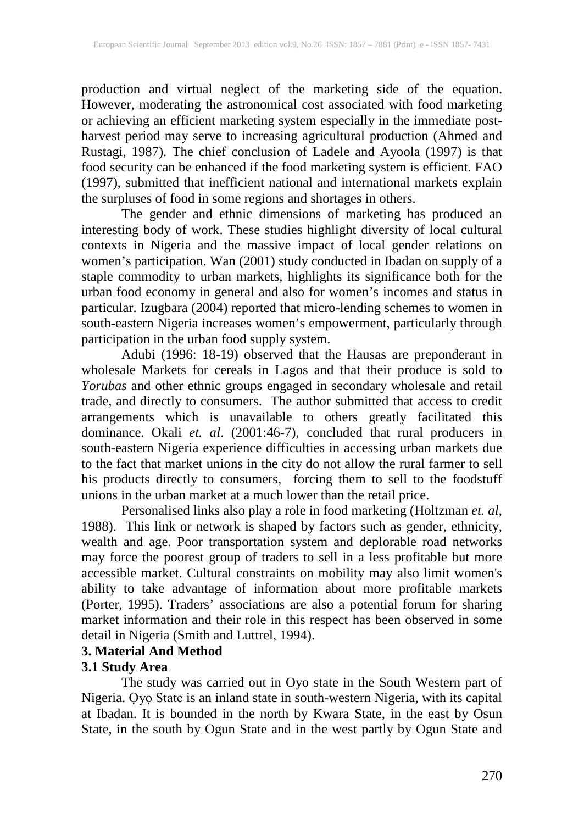production and virtual neglect of the marketing side of the equation. However, moderating the astronomical cost associated with food marketing or achieving an efficient marketing system especially in the immediate postharvest period may serve to increasing agricultural production (Ahmed and Rustagi, 1987). The chief conclusion of Ladele and Ayoola (1997) is that food security can be enhanced if the food marketing system is efficient. FAO (1997), submitted that inefficient national and international markets explain the surpluses of food in some regions and shortages in others.

The gender and ethnic dimensions of marketing has produced an interesting body of work. These studies highlight diversity of local cultural contexts in Nigeria and the massive impact of local gender relations on women's participation. Wan (2001) study conducted in Ibadan on supply of a staple commodity to urban markets, highlights its significance both for the urban food economy in general and also for women's incomes and status in particular. Izugbara (2004) reported that micro-lending schemes to women in south-eastern Nigeria increases women's empowerment, particularly through participation in the urban food supply system.

Adubi (1996: 18-19) observed that the Hausas are preponderant in wholesale Markets for cereals in Lagos and that their produce is sold to *Yorubas* and other ethnic groups engaged in secondary wholesale and retail trade, and directly to consumers. The author submitted that access to credit arrangements which is unavailable to others greatly facilitated this dominance. Okali *et. al*. (2001:46-7), concluded that rural producers in south-eastern Nigeria experience difficulties in accessing urban markets due to the fact that market unions in the city do not allow the rural farmer to sell his products directly to consumers, forcing them to sell to the foodstuff unions in the urban market at a much lower than the retail price.

Personalised links also play a role in food marketing (Holtzman *et. al*, 1988). This link or network is shaped by factors such as gender, ethnicity, wealth and age. Poor transportation system and deplorable road networks may force the poorest group of traders to sell in a less profitable but more accessible market. Cultural constraints on mobility may also limit women's ability to take advantage of information about more profitable markets (Porter, 1995). Traders' associations are also a potential forum for sharing market information and their role in this respect has been observed in some detail in Nigeria (Smith and Luttrel, 1994).

## **3. Material And Method**

## **3.1 Study Area**

The study was carried out in Oyo state in the South Western part of Nigeria. Ọyọ State is an inland state in south-western Nigeria, with its capital at Ibadan. It is bounded in the north by Kwara State, in the east by Osun State, in the south by Ogun State and in the west partly by Ogun State and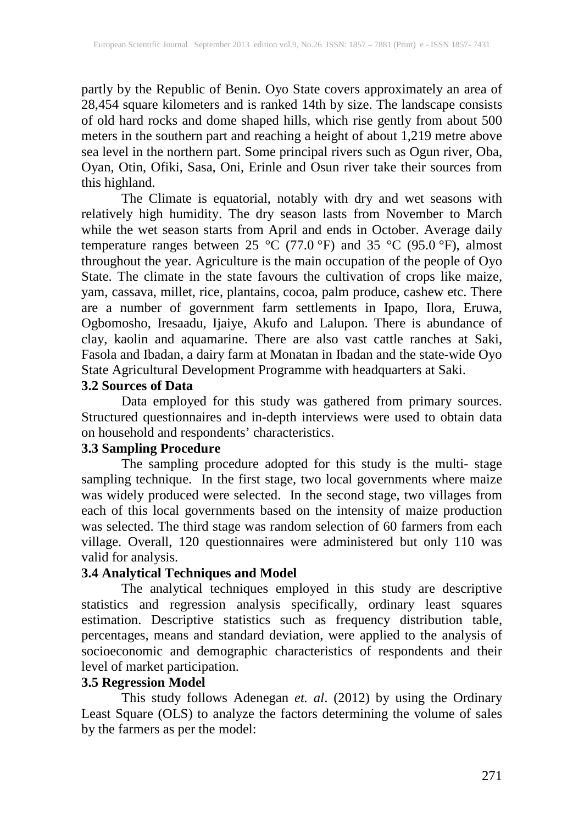partly by the Republic of Benin. Oyo State covers approximately an area of 28,454 square kilometers and is ranked 14th by size. The landscape consists of old hard rocks and dome shaped hills, which rise gently from about 500 meters in the southern part and reaching a height of about 1,219 metre above sea level in the northern part. Some principal rivers such as Ogun river, Oba, Oyan, Otin, Ofiki, Sasa, Oni, Erinle and Osun river take their sources from this highland.

The Climate is equatorial, notably with dry and wet seasons with relatively high humidity. The dry season lasts from November to March while the wet season starts from April and ends in October. Average daily temperature ranges between 25 °C (77.0 °F) and 35 °C (95.0 °F), almost throughout the year. Agriculture is the main occupation of the people of Oyo State. The climate in the state favours the cultivation of crops like maize, yam, cassava, millet, rice, plantains, cocoa, palm produce, cashew etc. There are a number of government farm settlements in Ipapo, Ilora, Eruwa, Ogbomosho, Iresaadu, Ijaiye, Akufo and Lalupon. There is abundance of clay, kaolin and aquamarine. There are also vast cattle ranches at Saki, Fasola and Ibadan, a dairy farm at Monatan in Ibadan and the state-wide Oyo State Agricultural Development Programme with headquarters at Saki.

## **3.2 Sources of Data**

Data employed for this study was gathered from primary sources. Structured questionnaires and in-depth interviews were used to obtain data on household and respondents' characteristics.

## **3.3 Sampling Procedure**

The sampling procedure adopted for this study is the multi- stage sampling technique. In the first stage, two local governments where maize was widely produced were selected. In the second stage, two villages from each of this local governments based on the intensity of maize production was selected. The third stage was random selection of 60 farmers from each village. Overall, 120 questionnaires were administered but only 110 was valid for analysis.

## **3.4 Analytical Techniques and Model**

The analytical techniques employed in this study are descriptive statistics and regression analysis specifically, ordinary least squares estimation. Descriptive statistics such as frequency distribution table, percentages, means and standard deviation, were applied to the analysis of socioeconomic and demographic characteristics of respondents and their level of market participation.

## **3.5 Regression Model**

This study follows Adenegan *et. al*. (2012) by using the Ordinary Least Square (OLS) to analyze the factors determining the volume of sales by the farmers as per the model: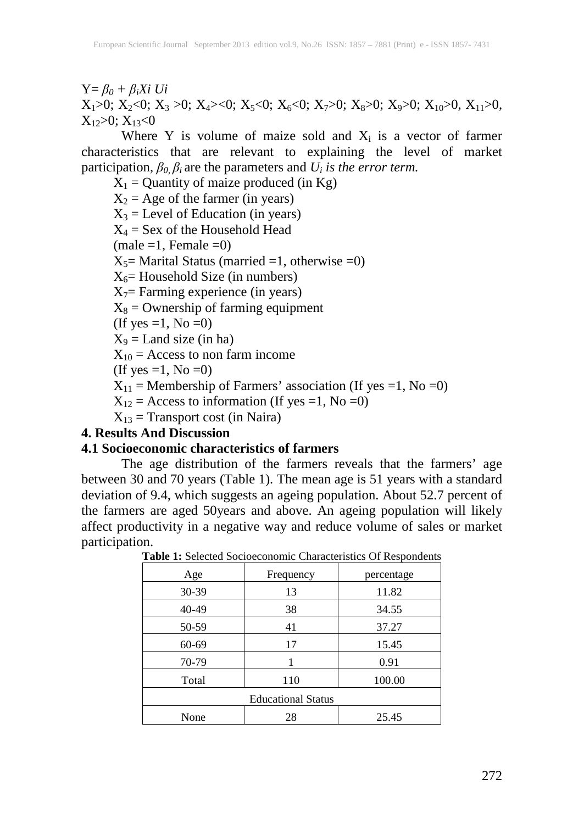Y= *β<sup>0</sup> + βiXi Ui*  $X_1>0$ ;  $X_2<0$ ;  $X_3>0$ ;  $X_4><0$ ;  $X_5<0$ ;  $X_6<0$ ;  $X_7>0$ ;  $X_8>0$ ;  $X_9>0$ ;  $X_{10}>0$ ,  $X_{11}>0$ ,  $X_1 \geq 0$ ;  $X_1 \leq 0$ 

Where Y is volume of maize sold and  $X_i$  is a vector of farmer characteristics that are relevant to explaining the level of market participation,  $\beta_0$ ,  $\beta_i$  are the parameters and  $U_i$  *is the error term.* 

 $X_1$  = Quantity of maize produced (in Kg)  $X_2$  = Age of the farmer (in years)  $X_3$  = Level of Education (in years)  $X_4$  = Sex of the Household Head  $(male = 1, Female = 0)$  $X_5$ = Marital Status (married =1, otherwise =0)  $X_6$ = Household Size (in numbers)  $X_7$ = Farming experience (in years)  $X_8$  = Ownership of farming equipment (If yes  $=1$ , No  $=0$ )  $X_9$  = Land size (in ha)  $X_{10}$  = Access to non farm income (If yes  $=1$ , No  $=0$ )  $X_{11}$  = Membership of Farmers' association (If yes =1, No =0)

 $X_{12}$  = Access to information (If yes =1, No =0)

 $X_{13}$  = Transport cost (in Naira)

#### **4. Results And Discussion**

#### **4.1 Socioeconomic characteristics of farmers**

The age distribution of the farmers reveals that the farmers' age between 30 and 70 years (Table 1). The mean age is 51 years with a standard deviation of 9.4, which suggests an ageing population. About 52.7 percent of the farmers are aged 50years and above. An ageing population will likely affect productivity in a negative way and reduce volume of sales or market participation.

| Age                       | Frequency | percentage |  |  |  |
|---------------------------|-----------|------------|--|--|--|
| 30-39                     | 13        | 11.82      |  |  |  |
| 40-49                     | 38        | 34.55      |  |  |  |
| 50-59                     | 41        | 37.27      |  |  |  |
| 60-69                     | 17        | 15.45      |  |  |  |
| 70-79                     |           | 0.91       |  |  |  |
| Total                     | 110       | 100.00     |  |  |  |
| <b>Educational Status</b> |           |            |  |  |  |
| None                      | 28        | 25.45      |  |  |  |

**Table 1:** Selected Socioeconomic Characteristics Of Respondents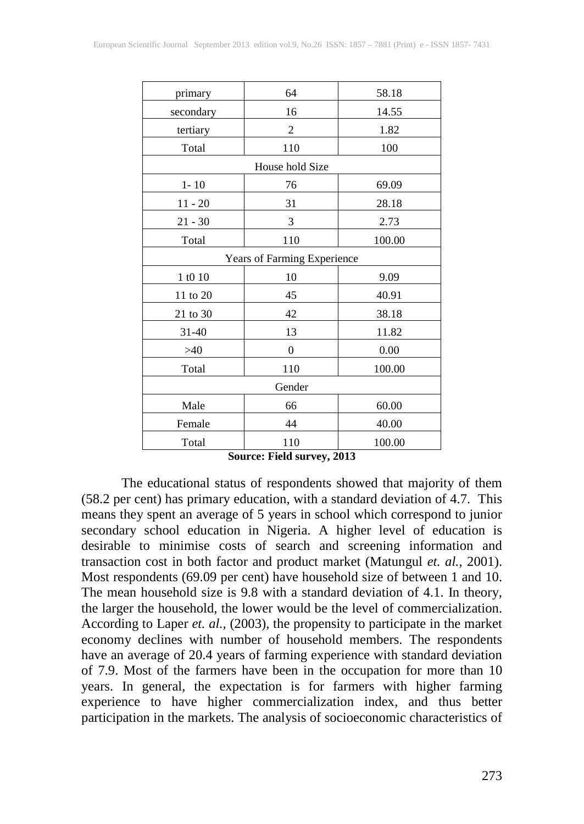| primary   | 64                          | 58.18  |  |  |  |  |
|-----------|-----------------------------|--------|--|--|--|--|
| secondary | 16                          | 14.55  |  |  |  |  |
| tertiary  | $\overline{c}$              | 1.82   |  |  |  |  |
| Total     | 110                         | 100    |  |  |  |  |
|           | House hold Size             |        |  |  |  |  |
| $1 - 10$  | 76                          | 69.09  |  |  |  |  |
| $11 - 20$ | 31                          | 28.18  |  |  |  |  |
| $21 - 30$ | 3                           | 2.73   |  |  |  |  |
| Total     | 110                         | 100.00 |  |  |  |  |
|           | Years of Farming Experience |        |  |  |  |  |
| 1 t0 10   | 10                          | 9.09   |  |  |  |  |
| 11 to 20  | 45                          | 40.91  |  |  |  |  |
| 21 to 30  | 42                          | 38.18  |  |  |  |  |
| 31-40     | 13                          | 11.82  |  |  |  |  |
| >40       | $\theta$                    | 0.00   |  |  |  |  |
| Total     | 110                         | 100.00 |  |  |  |  |
| Gender    |                             |        |  |  |  |  |
| Male      | 66                          | 60.00  |  |  |  |  |
| Female    | 44                          | 40.00  |  |  |  |  |
| Total     | 110                         | 100.00 |  |  |  |  |

**Source: Field survey, 2013**

The educational status of respondents showed that majority of them (58.2 per cent) has primary education, with a standard deviation of 4.7. This means they spent an average of 5 years in school which correspond to junior secondary school education in Nigeria. A higher level of education is desirable to minimise costs of search and screening information and transaction cost in both factor and product market (Matungul *et. al.,* 2001). Most respondents (69.09 per cent) have household size of between 1 and 10. The mean household size is 9.8 with a standard deviation of 4.1. In theory, the larger the household, the lower would be the level of commercialization. According to Laper *et. al.,* (2003), the propensity to participate in the market economy declines with number of household members. The respondents have an average of 20.4 years of farming experience with standard deviation of 7.9. Most of the farmers have been in the occupation for more than 10 years. In general, the expectation is for farmers with higher farming experience to have higher commercialization index, and thus better participation in the markets. The analysis of socioeconomic characteristics of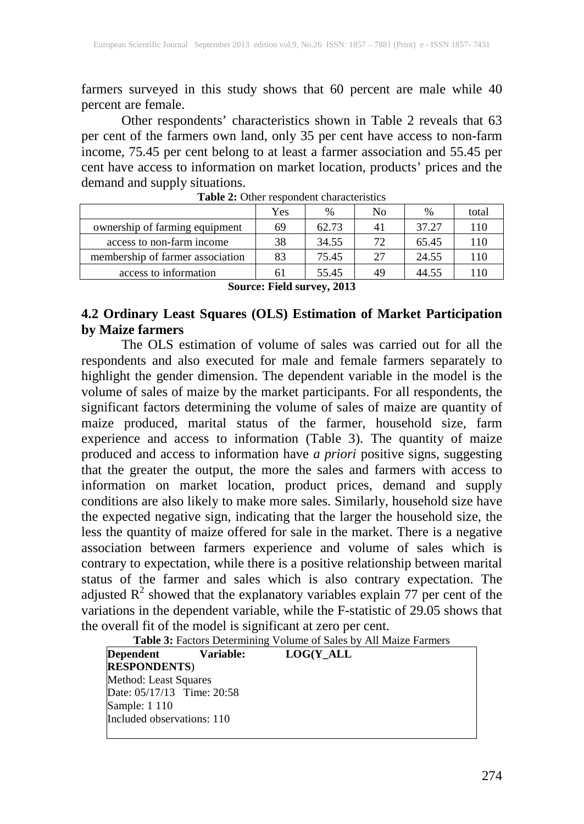farmers surveyed in this study shows that 60 percent are male while 40 percent are female.

Other respondents' characteristics shown in Table 2 reveals that 63 per cent of the farmers own land, only 35 per cent have access to non-farm income, 75.45 per cent belong to at least a farmer association and 55.45 per cent have access to information on market location, products' prices and the demand and supply situations.

|                                  | Yes | $\%$  | No           | $\frac{0}{0}$ | total |  |
|----------------------------------|-----|-------|--------------|---------------|-------|--|
| ownership of farming equipment   | 69  | 62.73 | 41           | 37.27         | 110   |  |
| access to non-farm income        | 38  | 34.55 | $72^{\circ}$ | 65.45         | 110   |  |
| membership of farmer association | 83  | 75.45 | 27           | 24.55         | 110   |  |
| access to information            | 61  | 55.45 | 49           | 44.55         | 110   |  |

**Table 2:** Other respondent characteristics

**Source: Field survey, 2013**

## **4.2 Ordinary Least Squares (OLS) Estimation of Market Participation by Maize farmers**

The OLS estimation of volume of sales was carried out for all the respondents and also executed for male and female farmers separately to highlight the gender dimension. The dependent variable in the model is the volume of sales of maize by the market participants. For all respondents, the significant factors determining the volume of sales of maize are quantity of maize produced, marital status of the farmer, household size, farm experience and access to information (Table 3). The quantity of maize produced and access to information have *a priori* positive signs, suggesting that the greater the output, the more the sales and farmers with access to information on market location, product prices, demand and supply conditions are also likely to make more sales. Similarly, household size have the expected negative sign, indicating that the larger the household size, the less the quantity of maize offered for sale in the market. There is a negative association between farmers experience and volume of sales which is contrary to expectation, while there is a positive relationship between marital status of the farmer and sales which is also contrary expectation. The adjusted  $R^2$  showed that the explanatory variables explain 77 per cent of the variations in the dependent variable, while the F-statistic of 29.05 shows that the overall fit of the model is significant at zero per cent.

| Dependent                  | <b>Variable:</b> | LOG(Y ALL |  |
|----------------------------|------------------|-----------|--|
| <b>RESPONDENTS</b>         |                  |           |  |
| Method: Least Squares      |                  |           |  |
| Date: 05/17/13 Time: 20:58 |                  |           |  |
| Sample: 1 110              |                  |           |  |
| Included observations: 110 |                  |           |  |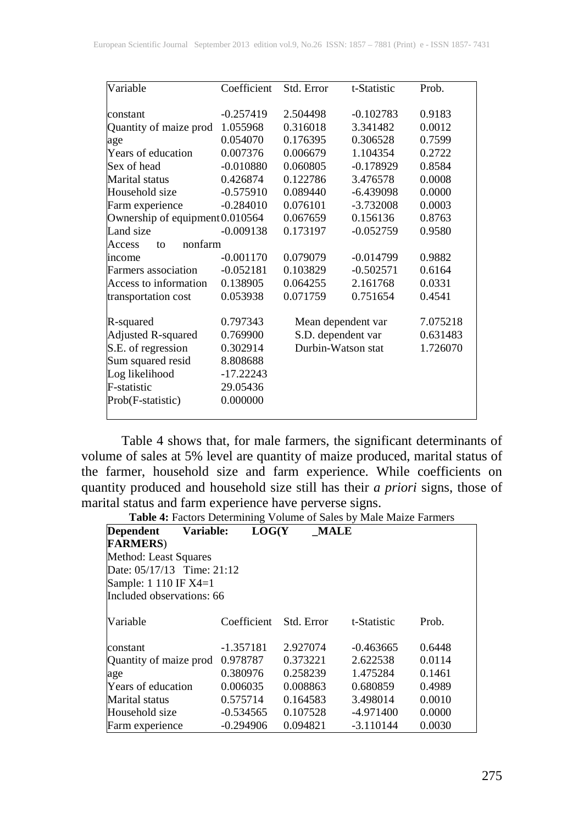| Variable                        | Coefficient | Std. Error         | t-Statistic | Prob.    |
|---------------------------------|-------------|--------------------|-------------|----------|
|                                 |             |                    |             |          |
| constant                        | $-0.257419$ | 2.504498           | $-0.102783$ | 0.9183   |
| Quantity of maize prod          | 1.055968    | 0.316018           | 3.341482    | 0.0012   |
| age                             | 0.054070    | 0.176395           | 0.306528    | 0.7599   |
| Years of education              | 0.007376    | 0.006679           | 1.104354    | 0.2722   |
| Sex of head                     | $-0.010880$ | 0.060805           | $-0.178929$ | 0.8584   |
| Marital status                  | 0.426874    | 0.122786           | 3.476578    | 0.0008   |
| Household size                  | $-0.575910$ | 0.089440           | $-6.439098$ | 0.0000   |
| Farm experience                 | $-0.284010$ | 0.076101           | $-3.732008$ | 0.0003   |
| Ownership of equipment 0.010564 |             | 0.067659           | 0.156136    | 0.8763   |
| Land size                       | $-0.009138$ | 0.173197           | $-0.052759$ | 0.9580   |
| nonfarm<br>Access<br>to         |             |                    |             |          |
| income                          | $-0.001170$ | 0.079079           | $-0.014799$ | 0.9882   |
| Farmers association             | $-0.052181$ | 0.103829           | $-0.502571$ | 0.6164   |
| Access to information           | 0.138905    | 0.064255           | 2.161768    | 0.0331   |
| transportation cost             | 0.053938    | 0.071759           | 0.751654    | 0.4541   |
|                                 |             |                    |             |          |
| R-squared                       | 0.797343    | Mean dependent var |             | 7.075218 |
| <b>Adjusted R-squared</b>       | 0.769900    | S.D. dependent var |             | 0.631483 |
| S.E. of regression              | 0.302914    | Durbin-Watson stat |             | 1.726070 |
| Sum squared resid               | 8.808688    |                    |             |          |
| Log likelihood                  | $-17.22243$ |                    |             |          |
| F-statistic                     | 29.05436    |                    |             |          |
| Prob(F-statistic)               | 0.000000    |                    |             |          |
|                                 |             |                    |             |          |

Table 4 shows that, for male farmers, the significant determinants of volume of sales at 5% level are quantity of maize produced, marital status of the farmer, household size and farm experience. While coefficients on quantity produced and household size still has their *a priori* signs, those of marital status and farm experience have perverse signs.

**Table 4:** Factors Determining Volume of Sales by Male Maize Farmers

| <b>Dependent</b><br>Variable: | LOG(Y)      | <b>MALE</b> |             |        |
|-------------------------------|-------------|-------------|-------------|--------|
| <b>FARMERS</b> )              |             |             |             |        |
| Method: Least Squares         |             |             |             |        |
| Date: $05/17/13$ Time: 21:12  |             |             |             |        |
| Sample: 1 110 IF X4=1         |             |             |             |        |
| Included observations: 66     |             |             |             |        |
|                               |             |             |             |        |
| Variable                      | Coefficient | Std. Error  | t-Statistic | Prob.  |
|                               |             |             |             |        |
| constant                      | $-1.357181$ | 2.927074    | $-0.463665$ | 0.6448 |
| Quantity of maize prod        | 0.978787    | 0.373221    | 2.622538    | 0.0114 |
| age                           | 0.380976    | 0.258239    | 1.475284    | 0.1461 |
| Years of education            | 0.006035    | 0.008863    | 0.680859    | 0.4989 |
| Marital status                | 0.575714    | 0.164583    | 3.498014    | 0.0010 |
| Household size                | $-0.534565$ | 0.107528    | -4.971400   | 0.0000 |
| Farm experience               | $-0.294906$ | 0.094821    | $-3.110144$ | 0.0030 |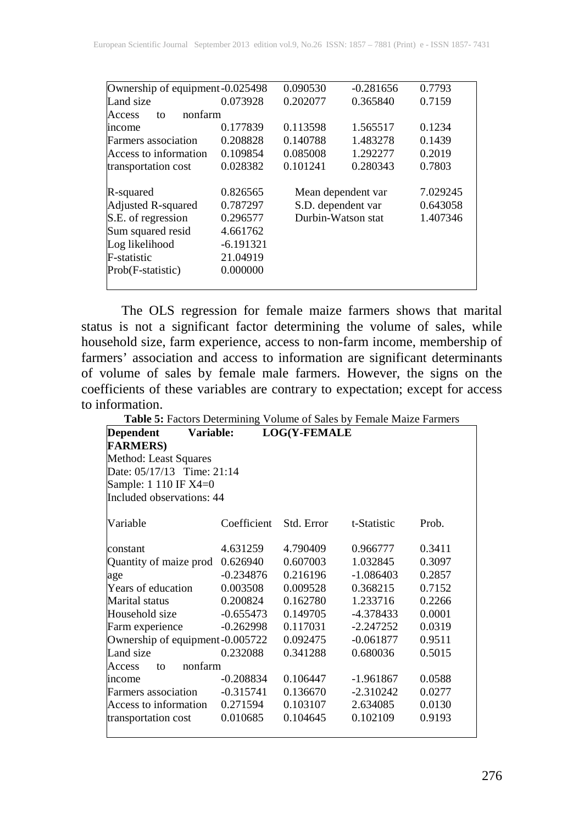| Ownership of equipment -0.025498 |             | 0.090530           | $-0.281656$        | 0.7793   |
|----------------------------------|-------------|--------------------|--------------------|----------|
| Land size                        | 0.073928    | 0.202077           | 0.365840           | 0.7159   |
| nonfarm<br>Access<br>to          |             |                    |                    |          |
| <i>n</i> come                    | 0.177839    | 0.113598           | 1.565517           | 0.1234   |
| <b>Farmers</b> association       | 0.208828    | 0.140788           | 1.483278           | 0.1439   |
| Access to information            | 0.109854    | 0.085008           | 1.292277           | 0.2019   |
| transportation cost              | 0.028382    | 0.101241           | 0.280343           | 0.7803   |
| R-squared                        | 0.826565    |                    | Mean dependent var | 7.029245 |
| Adjusted R-squared               | 0.787297    | S.D. dependent var |                    | 0.643058 |
| S.E. of regression               | 0.296577    | Durbin-Watson stat |                    | 1.407346 |
| Sum squared resid                | 4.661762    |                    |                    |          |
| Log likelihood                   | $-6.191321$ |                    |                    |          |
| F-statistic                      | 21.04919    |                    |                    |          |
| Prob(F-statistic)                | 0.000000    |                    |                    |          |
|                                  |             |                    |                    |          |

The OLS regression for female maize farmers shows that marital status is not a significant factor determining the volume of sales, while household size, farm experience, access to non-farm income, membership of farmers' association and access to information are significant determinants of volume of sales by female male farmers. However, the signs on the coefficients of these variables are contrary to expectation; except for access to information.

**Table 5:** Factors Determining Volume of Sales by Female Maize Farmers

| Variable:<br>Dependent           |             | <b>LOG(Y-FEMALE</b> |             |        |  |  |
|----------------------------------|-------------|---------------------|-------------|--------|--|--|
| <b>FARMERS</b> )                 |             |                     |             |        |  |  |
| Method: Least Squares            |             |                     |             |        |  |  |
| Date: 05/17/13 Time: 21:14       |             |                     |             |        |  |  |
| Sample: 1 110 IF X4=0            |             |                     |             |        |  |  |
| Included observations: 44        |             |                     |             |        |  |  |
| Variable                         | Coefficient | Std. Error          | t-Statistic | Prob.  |  |  |
| constant                         | 4.631259    | 4.790409            | 0.966777    | 0.3411 |  |  |
| Quantity of maize prod           | 0.626940    | 0.607003            | 1.032845    | 0.3097 |  |  |
| age                              | $-0.234876$ | 0.216196            | $-1.086403$ | 0.2857 |  |  |
| Years of education               | 0.003508    | 0.009528            | 0.368215    | 0.7152 |  |  |
| <b>Marital</b> status            | 0.200824    | 0.162780            | 1.233716    | 0.2266 |  |  |
| Household size                   | $-0.655473$ | 0.149705            | $-4.378433$ | 0.0001 |  |  |
| Farm experience                  | $-0.262998$ | 0.117031            | $-2.247252$ | 0.0319 |  |  |
| Ownership of equipment -0.005722 |             | 0.092475            | $-0.061877$ | 0.9511 |  |  |
| Land size                        | 0.232088    | 0.341288            | 0.680036    | 0.5015 |  |  |
| nonfarm<br>Access<br>to          |             |                     |             |        |  |  |
| income                           | $-0.208834$ | 0.106447            | $-1.961867$ | 0.0588 |  |  |
| Farmers association              | $-0.315741$ | 0.136670            | $-2.310242$ | 0.0277 |  |  |
| Access to information            | 0.271594    | 0.103107            | 2.634085    | 0.0130 |  |  |
| transportation cost              | 0.010685    | 0.104645            | 0.102109    | 0.9193 |  |  |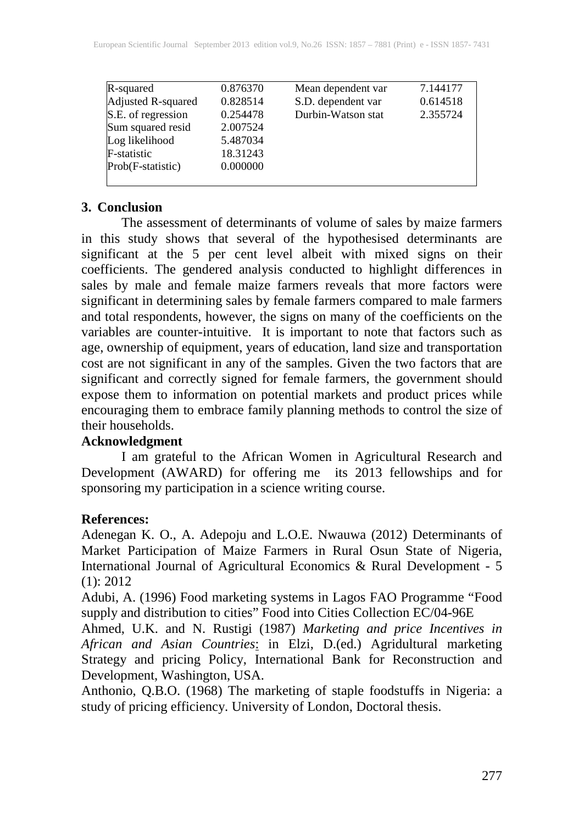| R-squared           | 0.876370 | Mean dependent var | 7.144177 |
|---------------------|----------|--------------------|----------|
| Adjusted R-squared  | 0.828514 | S.D. dependent var | 0.614518 |
| S.E. of regression  | 0.254478 | Durbin-Watson stat | 2.355724 |
| Sum squared resid   | 2.007524 |                    |          |
| Log likelihood      | 5.487034 |                    |          |
| <b>F</b> -statistic | 18.31243 |                    |          |
| Prob(F-statistic)   | 0.000000 |                    |          |
|                     |          |                    |          |
|                     |          |                    |          |

#### **3. Conclusion**

The assessment of determinants of volume of sales by maize farmers in this study shows that several of the hypothesised determinants are significant at the 5 per cent level albeit with mixed signs on their coefficients. The gendered analysis conducted to highlight differences in sales by male and female maize farmers reveals that more factors were significant in determining sales by female farmers compared to male farmers and total respondents, however, the signs on many of the coefficients on the variables are counter-intuitive. It is important to note that factors such as age, ownership of equipment, years of education, land size and transportation cost are not significant in any of the samples. Given the two factors that are significant and correctly signed for female farmers, the government should expose them to information on potential markets and product prices while encouraging them to embrace family planning methods to control the size of their households.

## **Acknowledgment**

I am grateful to the African Women in Agricultural Research and Development (AWARD) for offering me its 2013 fellowships and for sponsoring my participation in a science writing course.

## **References:**

Adenegan K. O., A. Adepoju and L.O.E. Nwauwa (2012) Determinants of Market Participation of Maize Farmers in Rural Osun State of Nigeria, International Journal of Agricultural Economics & Rural Development - 5 (1): 2012

Adubi, A. (1996) Food marketing systems in Lagos FAO Programme "Food supply and distribution to cities" Food into Cities Collection EC/04-96E

Ahmed, U.K. and N. Rustigi (1987) *Marketing and price Incentives in African and Asian Countries*: in Elzi, D.(ed.) Agridultural marketing Strategy and pricing Policy, International Bank for Reconstruction and Development, Washington, USA.

Anthonio, Q.B.O. (1968) The marketing of staple foodstuffs in Nigeria: a study of pricing efficiency. University of London, Doctoral thesis.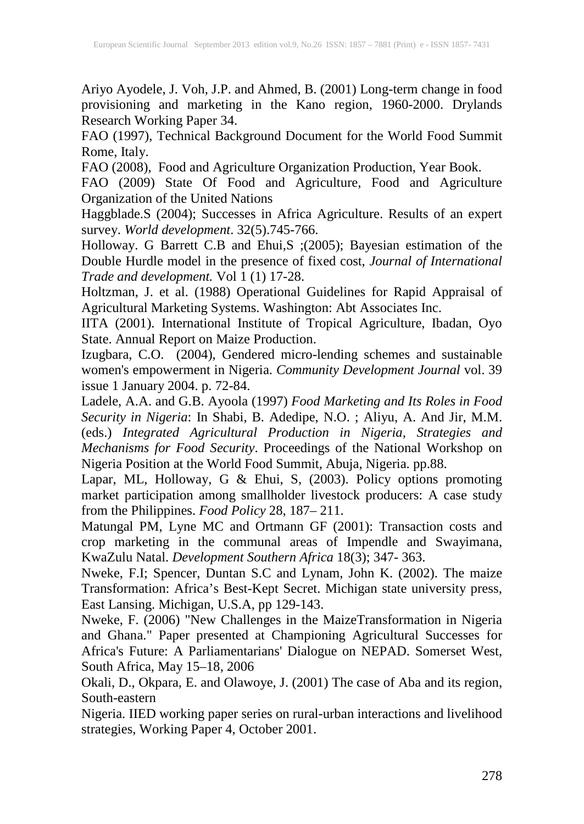Ariyo Ayodele, J. Voh, J.P. and Ahmed, B. (2001) Long-term change in food provisioning and marketing in the Kano region, 1960-2000. Drylands Research Working Paper 34.

FAO (1997), Technical Background Document for the World Food Summit Rome, Italy.

FAO (2008), Food and Agriculture Organization Production, Year Book.

FAO (2009) State Of Food and Agriculture, Food and Agriculture Organization of the United Nations

Haggblade.S (2004); Successes in Africa Agriculture. Results of an expert survey. *World development*. 32(5).745-766.

Holloway. G Barrett C.B and Ehui,S ;(2005); Bayesian estimation of the Double Hurdle model in the presence of fixed cost, *Journal of International Trade and development.* Vol 1 (1) 17-28.

Holtzman, J. et al. (1988) Operational Guidelines for Rapid Appraisal of Agricultural Marketing Systems. Washington: Abt Associates Inc.

IITA (2001). International Institute of Tropical Agriculture, Ibadan, Oyo State. Annual Report on Maize Production.

Izugbara, C.O. (2004), Gendered micro-lending schemes and sustainable women's empowerment in Nigeria. *Community Development Journal* vol. 39 issue 1 January 2004. p. 72-84.

Ladele, A.A. and G.B. Ayoola (1997) *Food Marketing and Its Roles in Food Security in Nigeria*: In Shabi, B. Adedipe, N.O. ; Aliyu, A. And Jir, M.M. (eds.) *Integrated Agricultural Production in Nigeria, Strategies and Mechanisms for Food Security*. Proceedings of the National Workshop on Nigeria Position at the World Food Summit, Abuja, Nigeria. pp.88.

Lapar, ML, Holloway, G & Ehui, S, (2003). Policy options promoting market participation among smallholder livestock producers: A case study from the Philippines. *Food Policy* 28, 187– 211.

Matungal PM, Lyne MC and Ortmann GF (2001): Transaction costs and crop marketing in the communal areas of Impendle and Swayimana, KwaZulu Natal. *Development Southern Africa* 18(3); 347- 363.

Nweke, F.I; Spencer, Duntan S.C and Lynam, John K. (2002). The maize Transformation: Africa's Best-Kept Secret. Michigan state university press, East Lansing. Michigan, U.S.A, pp 129-143.

Nweke, F. (2006) "New Challenges in the MaizeTransformation in Nigeria and Ghana." Paper presented at Championing Agricultural Successes for Africa's Future: A Parliamentarians' Dialogue on NEPAD. Somerset West, South Africa, May 15–18, 2006

Okali, D., Okpara, E. and Olawoye, J. (2001) The case of Aba and its region, South-eastern

Nigeria. IIED working paper series on rural-urban interactions and livelihood strategies, Working Paper 4, October 2001.